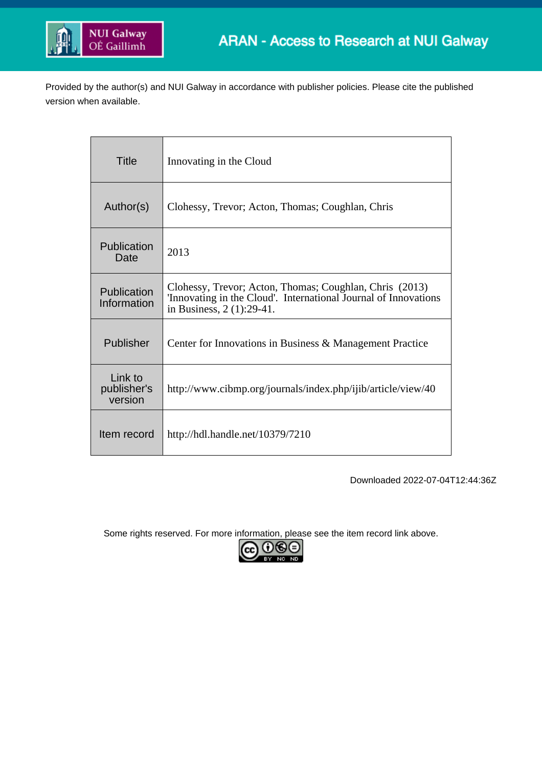

Provided by the author(s) and NUI Galway in accordance with publisher policies. Please cite the published version when available.

| Title                             | Innovating in the Cloud                                                                                                                                 |
|-----------------------------------|---------------------------------------------------------------------------------------------------------------------------------------------------------|
| Author(s)                         | Clohessy, Trevor; Acton, Thomas; Coughlan, Chris                                                                                                        |
| Publication<br>Date               | 2013                                                                                                                                                    |
| Publication<br>Information        | Clohessy, Trevor; Acton, Thomas; Coughlan, Chris (2013)<br>'Innovating in the Cloud'. International Journal of Innovations<br>in Business, 2 (1):29-41. |
| Publisher                         | Center for Innovations in Business & Management Practice                                                                                                |
| Link to<br>publisher's<br>version | http://www.cibmp.org/journals/index.php/ijib/article/view/40                                                                                            |
| Item record                       | http://hdl.handle.net/10379/7210                                                                                                                        |

Downloaded 2022-07-04T12:44:36Z

Some rights reserved. For more information, please see the item record link above.

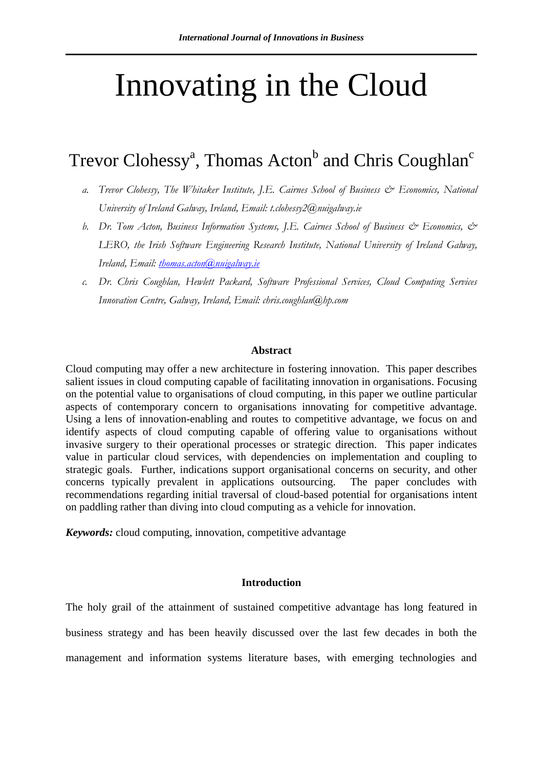# Innovating in the Cloud

# Trevor Clohessy<sup>a</sup>, Thomas Acton<sup>b</sup> and Chris Coughlan<sup>c</sup>

- *a. Trevor Clohessy, The Whitaker Institute, J.E. Cairnes School of Business & Economics, National University of Ireland Galway, Ireland, Email: t.clohessy2@nuigalway.ie*
- *b. Dr. Tom Acton, Business Information Systems, J.E. Cairnes School of Business & Economics, & LERO, the Irish Software Engineering Research Institute, National University of Ireland Galway, Ireland, Email: [thomas.acton@nuigalway.ie](mailto:thomas.acton@nuigalway.ie)*
- *c. Dr. Chris Coughlan, Hewlett Packard, Software Professional Services, Cloud Computing Services Innovation Centre, Galway, Ireland, Email: chris.coughlan@hp.com*

#### **Abstract**

Cloud computing may offer a new architecture in fostering innovation. This paper describes salient issues in cloud computing capable of facilitating innovation in organisations. Focusing on the potential value to organisations of cloud computing, in this paper we outline particular aspects of contemporary concern to organisations innovating for competitive advantage. Using a lens of innovation-enabling and routes to competitive advantage, we focus on and identify aspects of cloud computing capable of offering value to organisations without invasive surgery to their operational processes or strategic direction. This paper indicates value in particular cloud services, with dependencies on implementation and coupling to strategic goals. Further, indications support organisational concerns on security, and other concerns typically prevalent in applications outsourcing. The paper concludes with recommendations regarding initial traversal of cloud-based potential for organisations intent on paddling rather than diving into cloud computing as a vehicle for innovation.

*Keywords:* cloud computing, innovation, competitive advantage

### **Introduction**

The holy grail of the attainment of sustained competitive advantage has long featured in business strategy and has been heavily discussed over the last few decades in both the management and information systems literature bases, with emerging technologies and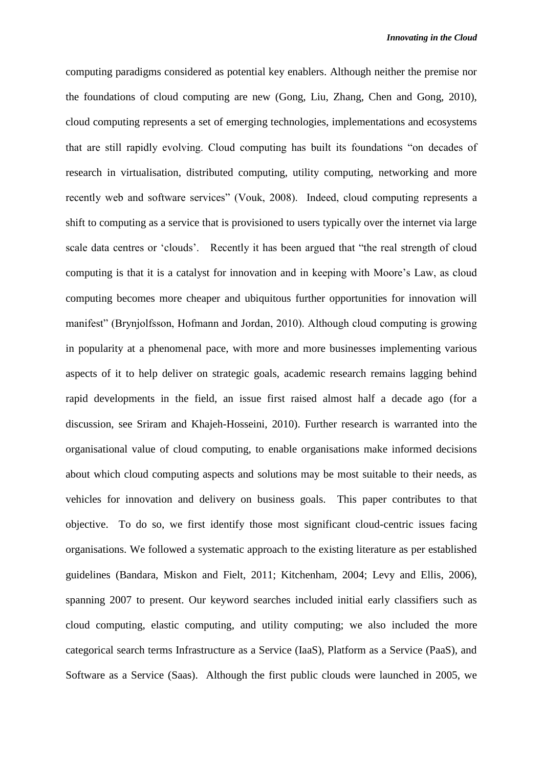computing paradigms considered as potential key enablers. Although neither the premise nor the foundations of cloud computing are new (Gong, Liu, Zhang, Chen and Gong, 2010), cloud computing represents a set of emerging technologies, implementations and ecosystems that are still rapidly evolving. Cloud computing has built its foundations "on decades of research in virtualisation, distributed computing, utility computing, networking and more recently web and software services" (Vouk, 2008). Indeed, cloud computing represents a shift to computing as a service that is provisioned to users typically over the internet via large scale data centres or 'clouds'. Recently it has been argued that "the real strength of cloud computing is that it is a catalyst for innovation and in keeping with Moore's Law, as cloud computing becomes more cheaper and ubiquitous further opportunities for innovation will manifest" (Brynjolfsson, Hofmann and Jordan, 2010). Although cloud computing is growing in popularity at a phenomenal pace, with more and more businesses implementing various aspects of it to help deliver on strategic goals, academic research remains lagging behind rapid developments in the field, an issue first raised almost half a decade ago (for a discussion, see Sriram and Khajeh-Hosseini, 2010). Further research is warranted into the organisational value of cloud computing, to enable organisations make informed decisions about which cloud computing aspects and solutions may be most suitable to their needs, as vehicles for innovation and delivery on business goals. This paper contributes to that objective. To do so, we first identify those most significant cloud-centric issues facing organisations. We followed a systematic approach to the existing literature as per established guidelines (Bandara, Miskon and Fielt, 2011; Kitchenham, 2004; Levy and Ellis, 2006), spanning 2007 to present. Our keyword searches included initial early classifiers such as cloud computing, elastic computing, and utility computing; we also included the more categorical search terms Infrastructure as a Service (IaaS), Platform as a Service (PaaS), and Software as a Service (Saas). Although the first public clouds were launched in 2005, we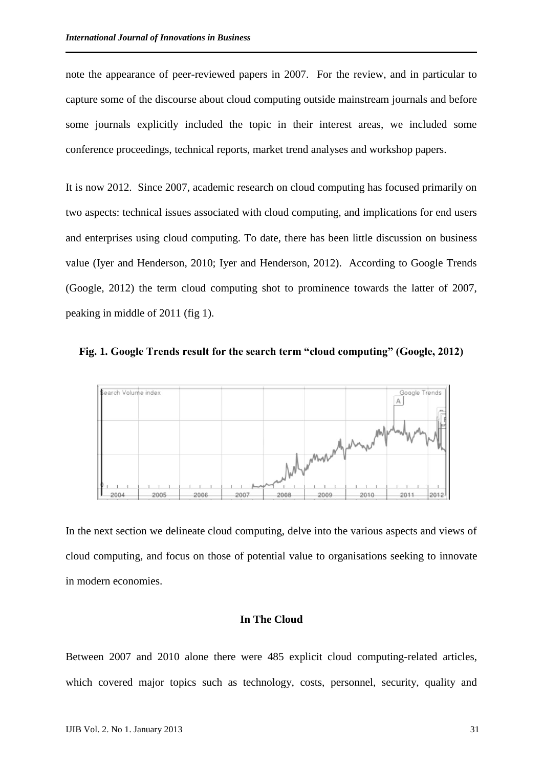note the appearance of peer-reviewed papers in 2007. For the review, and in particular to capture some of the discourse about cloud computing outside mainstream journals and before some journals explicitly included the topic in their interest areas, we included some conference proceedings, technical reports, market trend analyses and workshop papers.

It is now 2012. Since 2007, academic research on cloud computing has focused primarily on two aspects: technical issues associated with cloud computing, and implications for end users and enterprises using cloud computing. To date, there has been little discussion on business value (Iyer and Henderson, 2010; Iyer and Henderson, 2012). According to Google Trends (Google, 2012) the term cloud computing shot to prominence towards the latter of 2007, peaking in middle of 2011 (fig 1).





In the next section we delineate cloud computing, delve into the various aspects and views of cloud computing, and focus on those of potential value to organisations seeking to innovate in modern economies.

#### **In The Cloud**

Between 2007 and 2010 alone there were 485 explicit cloud computing-related articles, which covered major topics such as technology, costs, personnel, security, quality and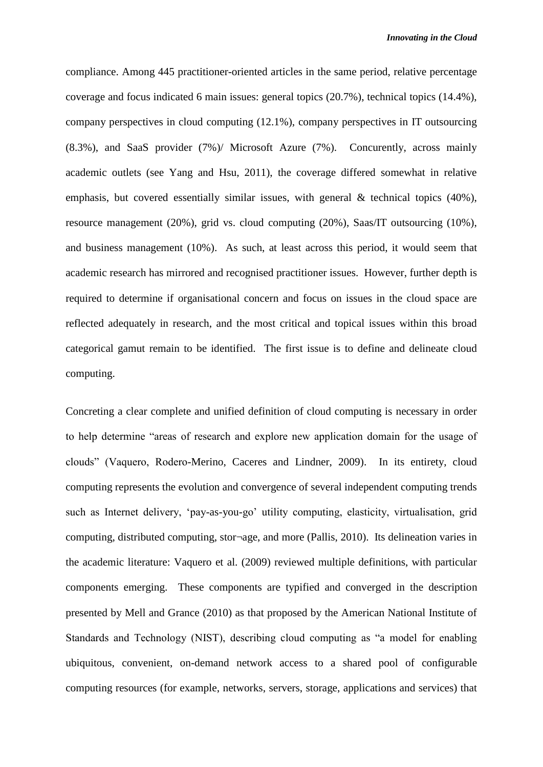compliance. Among 445 practitioner-oriented articles in the same period, relative percentage coverage and focus indicated 6 main issues: general topics (20.7%), technical topics (14.4%), company perspectives in cloud computing (12.1%), company perspectives in IT outsourcing (8.3%), and SaaS provider (7%)/ Microsoft Azure (7%). Concurently, across mainly academic outlets (see Yang and Hsu, 2011), the coverage differed somewhat in relative emphasis, but covered essentially similar issues, with general  $\&$  technical topics (40%), resource management (20%), grid vs. cloud computing (20%), Saas/IT outsourcing (10%), and business management (10%). As such, at least across this period, it would seem that academic research has mirrored and recognised practitioner issues. However, further depth is required to determine if organisational concern and focus on issues in the cloud space are reflected adequately in research, and the most critical and topical issues within this broad categorical gamut remain to be identified. The first issue is to define and delineate cloud computing.

Concreting a clear complete and unified definition of cloud computing is necessary in order to help determine "areas of research and explore new application domain for the usage of clouds" (Vaquero, Rodero-Merino, Caceres and Lindner, 2009). In its entirety, cloud computing represents the evolution and convergence of several independent computing trends such as Internet delivery, 'pay-as-you-go' utility computing, elasticity, virtualisation, grid computing, distributed computing, stor¬age, and more (Pallis, 2010). Its delineation varies in the academic literature: Vaquero et al. (2009) reviewed multiple definitions, with particular components emerging. These components are typified and converged in the description presented by Mell and Grance (2010) as that proposed by the American National Institute of Standards and Technology (NIST), describing cloud computing as "a model for enabling ubiquitous, convenient, on-demand network access to a shared pool of configurable computing resources (for example, networks, servers, storage, applications and services) that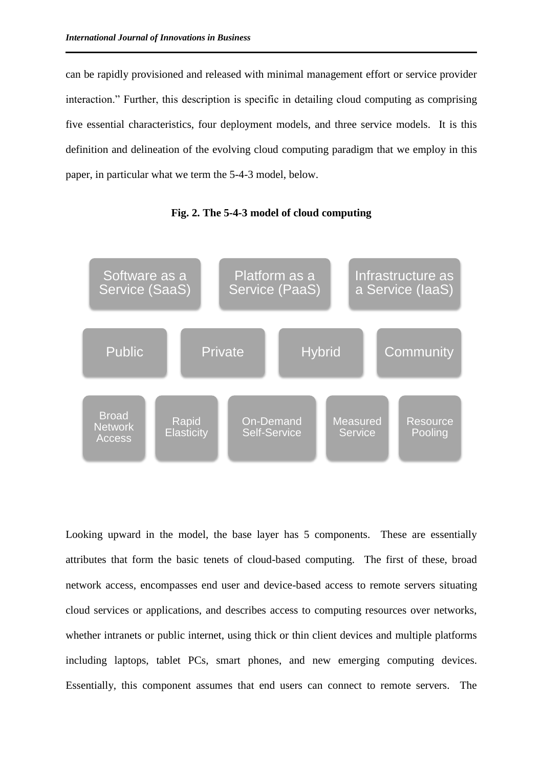can be rapidly provisioned and released with minimal management effort or service provider interaction." Further, this description is specific in detailing cloud computing as comprising five essential characteristics, four deployment models, and three service models. It is this definition and delineation of the evolving cloud computing paradigm that we employ in this paper, in particular what we term the 5-4-3 model, below.



**Fig. 2. The 5-4-3 model of cloud computing**

Looking upward in the model, the base layer has 5 components. These are essentially attributes that form the basic tenets of cloud-based computing. The first of these, broad network access, encompasses end user and device-based access to remote servers situating cloud services or applications, and describes access to computing resources over networks, whether intranets or public internet, using thick or thin client devices and multiple platforms including laptops, tablet PCs, smart phones, and new emerging computing devices. Essentially, this component assumes that end users can connect to remote servers. The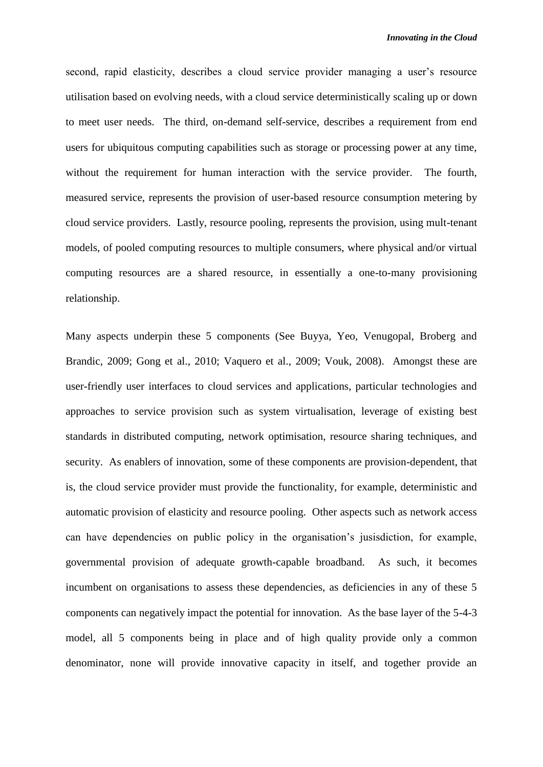second, rapid elasticity, describes a cloud service provider managing a user's resource utilisation based on evolving needs, with a cloud service deterministically scaling up or down to meet user needs. The third, on-demand self-service, describes a requirement from end users for ubiquitous computing capabilities such as storage or processing power at any time, without the requirement for human interaction with the service provider. The fourth, measured service, represents the provision of user-based resource consumption metering by cloud service providers. Lastly, resource pooling, represents the provision, using mult-tenant models, of pooled computing resources to multiple consumers, where physical and/or virtual computing resources are a shared resource, in essentially a one-to-many provisioning relationship.

Many aspects underpin these 5 components (See Buyya, Yeo, Venugopal, Broberg and Brandic, 2009; Gong et al., 2010; Vaquero et al., 2009; Vouk, 2008). Amongst these are user-friendly user interfaces to cloud services and applications, particular technologies and approaches to service provision such as system virtualisation, leverage of existing best standards in distributed computing, network optimisation, resource sharing techniques, and security. As enablers of innovation, some of these components are provision-dependent, that is, the cloud service provider must provide the functionality, for example, deterministic and automatic provision of elasticity and resource pooling. Other aspects such as network access can have dependencies on public policy in the organisation's jusisdiction, for example, governmental provision of adequate growth-capable broadband. As such, it becomes incumbent on organisations to assess these dependencies, as deficiencies in any of these 5 components can negatively impact the potential for innovation. As the base layer of the 5-4-3 model, all 5 components being in place and of high quality provide only a common denominator, none will provide innovative capacity in itself, and together provide an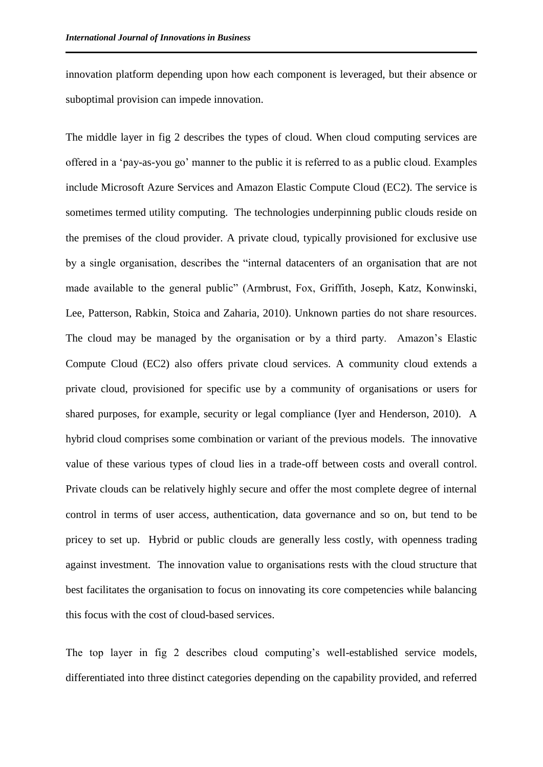innovation platform depending upon how each component is leveraged, but their absence or suboptimal provision can impede innovation.

The middle layer in fig 2 describes the types of cloud. When cloud computing services are offered in a 'pay-as-you go' manner to the public it is referred to as a public cloud. Examples include Microsoft Azure Services and Amazon Elastic Compute Cloud (EC2). The service is sometimes termed utility computing. The technologies underpinning public clouds reside on the premises of the cloud provider. A private cloud, typically provisioned for exclusive use by a single organisation, describes the "internal datacenters of an organisation that are not made available to the general public" (Armbrust, Fox, Griffith, Joseph, Katz, Konwinski, Lee, Patterson, Rabkin, Stoica and Zaharia, 2010). Unknown parties do not share resources. The cloud may be managed by the organisation or by a third party. Amazon's Elastic Compute Cloud (EC2) also offers private cloud services. A community cloud extends a private cloud, provisioned for specific use by a community of organisations or users for shared purposes, for example, security or legal compliance (Iyer and Henderson, 2010). A hybrid cloud comprises some combination or variant of the previous models. The innovative value of these various types of cloud lies in a trade-off between costs and overall control. Private clouds can be relatively highly secure and offer the most complete degree of internal control in terms of user access, authentication, data governance and so on, but tend to be pricey to set up. Hybrid or public clouds are generally less costly, with openness trading against investment. The innovation value to organisations rests with the cloud structure that best facilitates the organisation to focus on innovating its core competencies while balancing this focus with the cost of cloud-based services.

The top layer in fig 2 describes cloud computing's well-established service models, differentiated into three distinct categories depending on the capability provided, and referred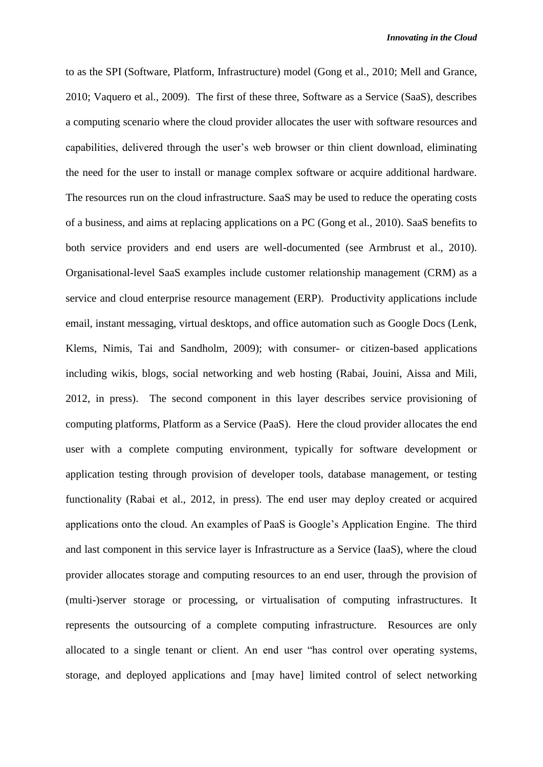to as the SPI (Software, Platform, Infrastructure) model (Gong et al., 2010; Mell and Grance, 2010; Vaquero et al., 2009). The first of these three, Software as a Service (SaaS), describes a computing scenario where the cloud provider allocates the user with software resources and capabilities, delivered through the user's web browser or thin client download, eliminating the need for the user to install or manage complex software or acquire additional hardware. The resources run on the cloud infrastructure. SaaS may be used to reduce the operating costs of a business, and aims at replacing applications on a PC (Gong et al., 2010). SaaS benefits to both service providers and end users are well-documented (see Armbrust et al., 2010). Organisational-level SaaS examples include customer relationship management (CRM) as a service and cloud enterprise resource management (ERP). Productivity applications include email, instant messaging, virtual desktops, and office automation such as Google Docs (Lenk, Klems, Nimis, Tai and Sandholm, 2009); with consumer- or citizen-based applications including wikis, blogs, social networking and web hosting (Rabai, Jouini, Aissa and Mili, 2012, in press). The second component in this layer describes service provisioning of computing platforms, Platform as a Service (PaaS). Here the cloud provider allocates the end user with a complete computing environment, typically for software development or application testing through provision of developer tools, database management, or testing functionality (Rabai et al., 2012, in press). The end user may deploy created or acquired applications onto the cloud. An examples of PaaS is Google's Application Engine. The third and last component in this service layer is Infrastructure as a Service (IaaS), where the cloud provider allocates storage and computing resources to an end user, through the provision of (multi-)server storage or processing, or virtualisation of computing infrastructures. It represents the outsourcing of a complete computing infrastructure. Resources are only allocated to a single tenant or client. An end user "has control over operating systems, storage, and deployed applications and [may have] limited control of select networking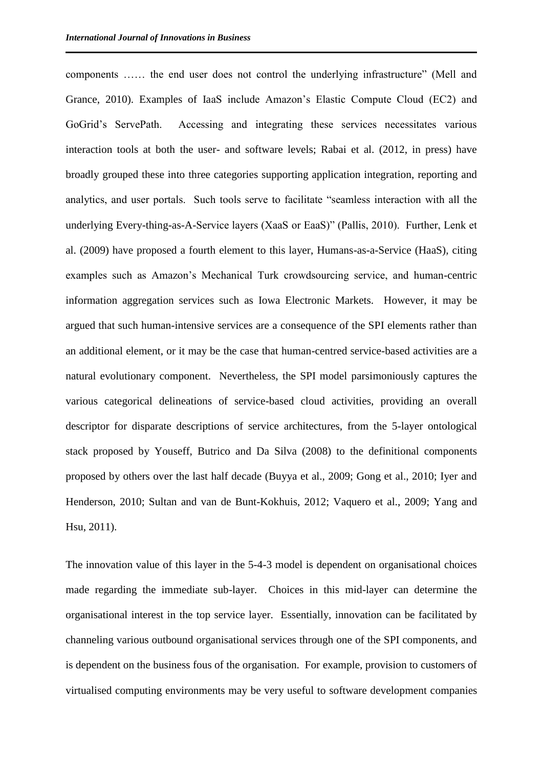components …… the end user does not control the underlying infrastructure" (Mell and Grance, 2010). Examples of IaaS include Amazon's Elastic Compute Cloud (EC2) and GoGrid's ServePath. Accessing and integrating these services necessitates various interaction tools at both the user- and software levels; Rabai et al. (2012, in press) have broadly grouped these into three categories supporting application integration, reporting and analytics, and user portals. Such tools serve to facilitate "seamless interaction with all the underlying Every-thing-as-A-Service layers (XaaS or EaaS)" (Pallis, 2010). Further, Lenk et al. (2009) have proposed a fourth element to this layer, Humans-as-a-Service (HaaS), citing examples such as Amazon's Mechanical Turk crowdsourcing service, and human-centric information aggregation services such as Iowa Electronic Markets. However, it may be argued that such human-intensive services are a consequence of the SPI elements rather than an additional element, or it may be the case that human-centred service-based activities are a natural evolutionary component. Nevertheless, the SPI model parsimoniously captures the various categorical delineations of service-based cloud activities, providing an overall descriptor for disparate descriptions of service architectures, from the 5-layer ontological stack proposed by Youseff, Butrico and Da Silva (2008) to the definitional components proposed by others over the last half decade (Buyya et al., 2009; Gong et al., 2010; Iyer and Henderson, 2010; Sultan and van de Bunt-Kokhuis, 2012; Vaquero et al., 2009; Yang and Hsu, 2011).

The innovation value of this layer in the 5-4-3 model is dependent on organisational choices made regarding the immediate sub-layer. Choices in this mid-layer can determine the organisational interest in the top service layer. Essentially, innovation can be facilitated by channeling various outbound organisational services through one of the SPI components, and is dependent on the business fous of the organisation. For example, provision to customers of virtualised computing environments may be very useful to software development companies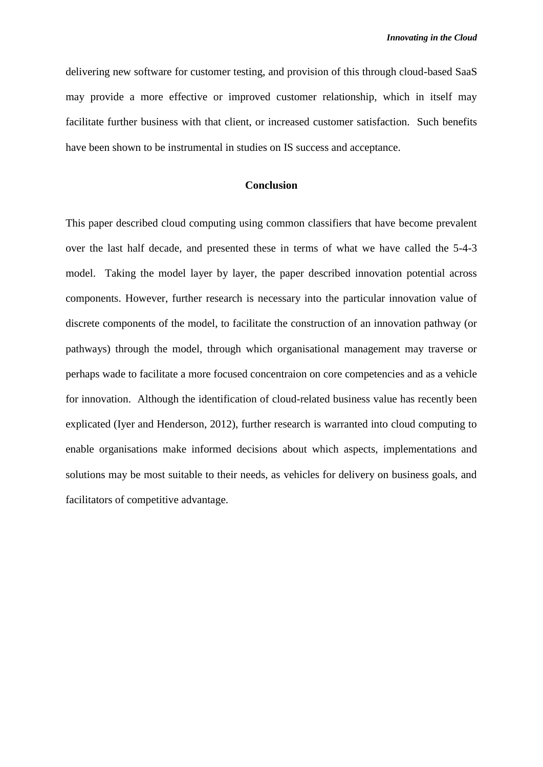delivering new software for customer testing, and provision of this through cloud-based SaaS may provide a more effective or improved customer relationship, which in itself may facilitate further business with that client, or increased customer satisfaction. Such benefits have been shown to be instrumental in studies on IS success and acceptance.

## **Conclusion**

This paper described cloud computing using common classifiers that have become prevalent over the last half decade, and presented these in terms of what we have called the 5-4-3 model. Taking the model layer by layer, the paper described innovation potential across components. However, further research is necessary into the particular innovation value of discrete components of the model, to facilitate the construction of an innovation pathway (or pathways) through the model, through which organisational management may traverse or perhaps wade to facilitate a more focused concentraion on core competencies and as a vehicle for innovation. Although the identification of cloud-related business value has recently been explicated (Iyer and Henderson, 2012), further research is warranted into cloud computing to enable organisations make informed decisions about which aspects, implementations and solutions may be most suitable to their needs, as vehicles for delivery on business goals, and facilitators of competitive advantage.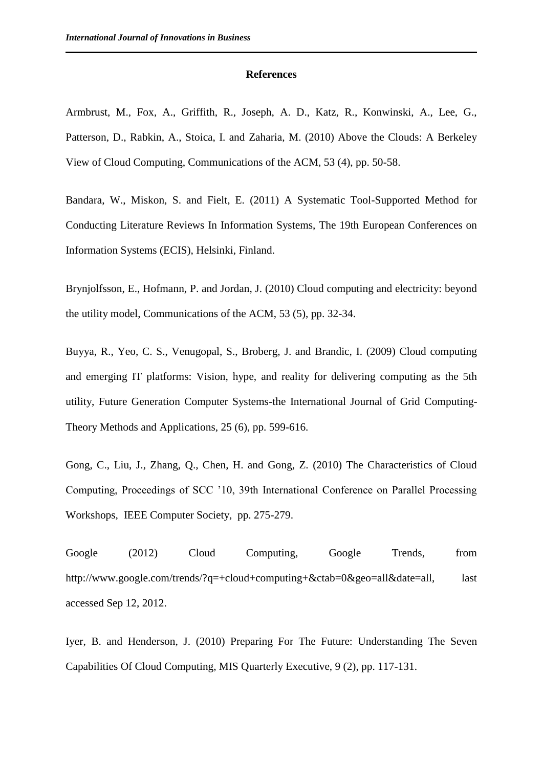#### **References**

Armbrust, M., Fox, A., Griffith, R., Joseph, A. D., Katz, R., Konwinski, A., Lee, G., Patterson, D., Rabkin, A., Stoica, I. and Zaharia, M. (2010) Above the Clouds: A Berkeley View of Cloud Computing, Communications of the ACM, 53 (4), pp. 50-58.

Bandara, W., Miskon, S. and Fielt, E. (2011) A Systematic Tool-Supported Method for Conducting Literature Reviews In Information Systems, The 19th European Conferences on Information Systems (ECIS), Helsinki, Finland.

Brynjolfsson, E., Hofmann, P. and Jordan, J. (2010) Cloud computing and electricity: beyond the utility model, Communications of the ACM, 53 (5), pp. 32-34.

Buyya, R., Yeo, C. S., Venugopal, S., Broberg, J. and Brandic, I. (2009) Cloud computing and emerging IT platforms: Vision, hype, and reality for delivering computing as the 5th utility, Future Generation Computer Systems-the International Journal of Grid Computing-Theory Methods and Applications, 25 (6), pp. 599-616.

Gong, C., Liu, J., Zhang, Q., Chen, H. and Gong, Z. (2010) The Characteristics of Cloud Computing, Proceedings of SCC '10, 39th International Conference on Parallel Processing Workshops, IEEE Computer Society, pp. 275-279.

Google (2012) Cloud Computing, Google Trends, from http://www.google.com/trends/?q=+cloud+computing+&ctab=0&geo=all&date=all, last accessed Sep 12, 2012.

Iyer, B. and Henderson, J. (2010) Preparing For The Future: Understanding The Seven Capabilities Of Cloud Computing, MIS Quarterly Executive, 9 (2), pp. 117-131.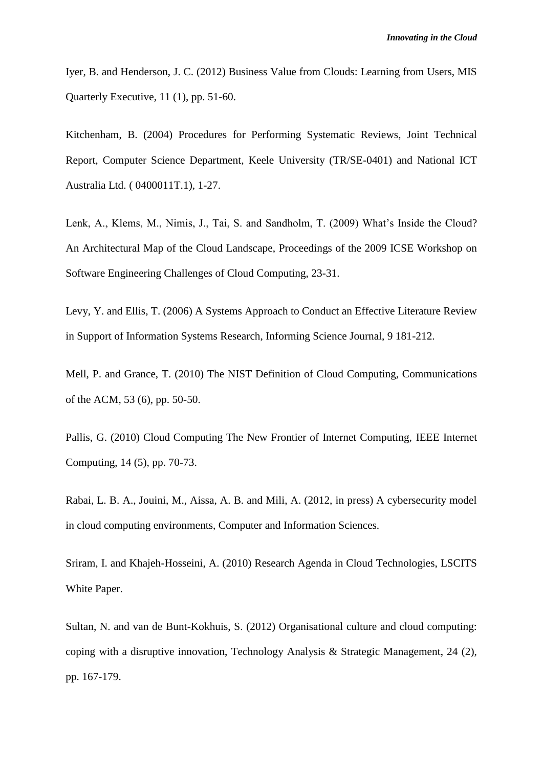Iyer, B. and Henderson, J. C. (2012) Business Value from Clouds: Learning from Users, MIS Quarterly Executive, 11 (1), pp. 51-60.

Kitchenham, B. (2004) Procedures for Performing Systematic Reviews, Joint Technical Report, Computer Science Department, Keele University (TR/SE-0401) and National ICT Australia Ltd. ( 0400011T.1), 1-27.

Lenk, A., Klems, M., Nimis, J., Tai, S. and Sandholm, T. (2009) What's Inside the Cloud? An Architectural Map of the Cloud Landscape, Proceedings of the 2009 ICSE Workshop on Software Engineering Challenges of Cloud Computing, 23-31.

Levy, Y. and Ellis, T. (2006) A Systems Approach to Conduct an Effective Literature Review in Support of Information Systems Research, Informing Science Journal, 9 181-212.

Mell, P. and Grance, T. (2010) The NIST Definition of Cloud Computing, Communications of the ACM, 53 (6), pp. 50-50.

Pallis, G. (2010) Cloud Computing The New Frontier of Internet Computing, IEEE Internet Computing, 14 (5), pp. 70-73.

Rabai, L. B. A., Jouini, M., Aissa, A. B. and Mili, A. (2012, in press) A cybersecurity model in cloud computing environments, Computer and Information Sciences.

Sriram, I. and Khajeh-Hosseini, A. (2010) Research Agenda in Cloud Technologies, LSCITS White Paper.

Sultan, N. and van de Bunt-Kokhuis, S. (2012) Organisational culture and cloud computing: coping with a disruptive innovation, Technology Analysis & Strategic Management, 24 (2), pp. 167-179.